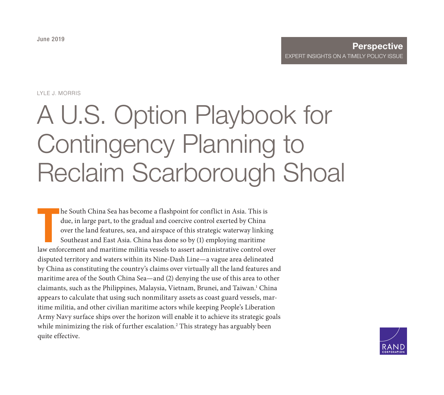LYLE J. MORRIS

# A U.S. Option Playbook for Contingency Planning to [Reclaim Scarborough Shoal](https://www.rand.org/pubs/perspectives/PE335.html)

In the South China Sea has become a flashpoint for conflict in Asia. This is due, in large part, to the gradual and coercive control exerted by China over the land features, sea, and airspace of this strategic waterway lin he South China Sea has become a flashpoint for conflict in Asia. This is due, in large part, to the gradual and coercive control exerted by China over the land features, sea, and airspace of this strategic waterway linking Southeast and East Asia. China has done so by (1) employing maritime disputed territory and waters within its Nine-Dash Line—a vague area delineated by China as constituting the country's claims over virtually all the land features and maritime area of the South China Sea—and (2) denying the use of this area to other claimants, such as the Philippines, Malaysia, Vietnam, Brunei, and Taiwan.<sup>1</sup> China appears to calculate that using such nonmilitary assets as coast guard vessels, maritime militia, and other civilian maritime actors while keeping People's Liberation Army Navy surface ships over the horizon will enable it to achieve its strategic goals while minimizing the risk of further escalation. $^2$  This strategy has arguably been quite effective.

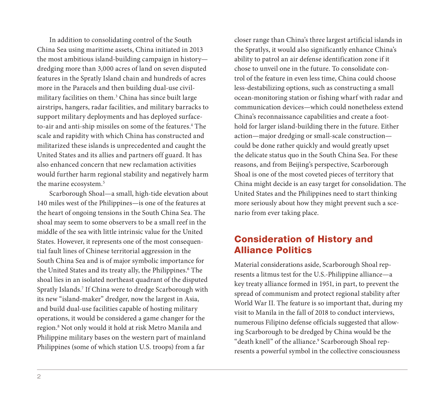In addition to consolidating control of the South China Sea using maritime assets, China initiated in 2013 the most ambitious island-building campaign in history dredging more than 3,000 acres of land on seven disputed features in the Spratly Island chain and hundreds of acres more in the Paracels and then building dual-use civilmilitary facilities on them.3 China has since built large airstrips, hangers, radar facilities, and military barracks to support military deployments and has deployed surfaceto-air and anti-ship missiles on some of the features.<sup>4</sup> The scale and rapidity with which China has constructed and militarized these islands is unprecedented and caught the United States and its allies and partners off guard. It has also enhanced concern that new reclamation activities would further harm regional stability and negatively harm the marine ecosystem.<sup>5</sup>

Scarborough Shoal—a small, high-tide elevation about 140 miles west of the Philippines—is one of the features at the heart of ongoing tensions in the South China Sea. The shoal may seem to some observers to be a small reef in the middle of the sea with little intrinsic value for the United States. However, it represents one of the most consequential fault lines of Chinese territorial aggression in the South China Sea and is of major symbolic importance for the United States and its treaty ally, the Philippines.<sup>6</sup> The shoal lies in an isolated northeast quadrant of the disputed Spratly Islands.7 If China were to dredge Scarborough with its new "island-maker" dredger, now the largest in Asia, and build dual-use facilities capable of hosting military operations, it would be considered a game changer for the region.8 Not only would it hold at risk Metro Manila and Philippine military bases on the western part of mainland Philippines (some of which station U.S. troops) from a far

closer range than China's three largest artificial islands in the Spratlys, it would also significantly enhance China's ability to patrol an air defense identification zone if it chose to unveil one in the future. To consolidate control of the feature in even less time, China could choose less-destabilizing options, such as constructing a small ocean-monitoring station or fishing wharf with radar and communication devices—which could nonetheless extend China's reconnaissance capabilities and create a foothold for larger island-building there in the future. Either action—major dredging or small-scale construction could be done rather quickly and would greatly upset the delicate status quo in the South China Sea. For these reasons, and from Beijing's perspective, Scarborough Shoal is one of the most coveted pieces of territory that China might decide is an easy target for consolidation. The United States and the Philippines need to start thinking more seriously about how they might prevent such a scenario from ever taking place.

# Consideration of History and Alliance Politics

Material considerations aside, Scarborough Shoal represents a litmus test for the U.S.-Philippine alliance—a key treaty alliance formed in 1951, in part, to prevent the spread of communism and protect regional stability after World War II. The feature is so important that, during my visit to Manila in the fall of 2018 to conduct interviews, numerous Filipino defense officials suggested that allowing Scarborough to be dredged by China would be the "death knell" of the alliance.<sup>9</sup> Scarborough Shoal represents a powerful symbol in the collective consciousness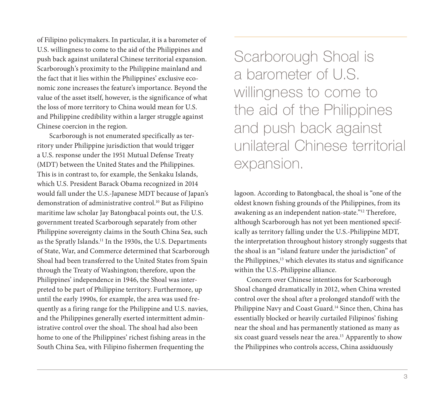of Filipino policymakers. In particular, it is a barometer of U.S. willingness to come to the aid of the Philippines and push back against unilateral Chinese territorial expansion. Scarborough's proximity to the Philippine mainland and the fact that it lies within the Philippines' exclusive economic zone increases the feature's importance. Beyond the value of the asset itself, however, is the significance of what the loss of more territory to China would mean for U.S. and Philippine credibility within a larger struggle against Chinese coercion in the region.

Scarborough is not enumerated specifically as territory under Philippine jurisdiction that would trigger a U.S. response under the 1951 Mutual Defense Treaty (MDT) between the United States and the Philippines. This is in contrast to, for example, the Senkaku Islands, which U.S. President Barack Obama recognized in 2014 would fall under the U.S.-Japanese MDT because of Japan's demonstration of administrative control.10 But as Filipino maritime law scholar Jay Batongbacal points out, the U.S. government treated Scarborough separately from other Philippine sovereignty claims in the South China Sea, such as the Spratly Islands.11 In the 1930s, the U.S. Departments of State, War, and Commerce determined that Scarborough Shoal had been transferred to the United States from Spain through the Treaty of Washington; therefore, upon the Philippines' independence in 1946, the Shoal was interpreted to be part of Philippine territory. Furthermore, up until the early 1990s, for example, the area was used frequently as a firing range for the Philippine and U.S. navies, and the Philippines generally exerted intermittent administrative control over the shoal. The shoal had also been home to one of the Philippines' richest fishing areas in the South China Sea, with Filipino fishermen frequenting the

Scarborough Shoal is a barometer of U.S. willingness to come to the aid of the Philippines and push back against unilateral Chinese territorial expansion.

lagoon. According to Batongbacal, the shoal is "one of the oldest known fishing grounds of the Philippines, from its awakening as an independent nation-state."12 Therefore, although Scarborough has not yet been mentioned specifically as territory falling under the U.S.-Philippine MDT, the interpretation throughout history strongly suggests that the shoal is an "island feature under the jurisdiction" of the Philippines,<sup>13</sup> which elevates its status and significance within the U.S.-Philippine alliance.

Concern over Chinese intentions for Scarborough Shoal changed dramatically in 2012, when China wrested control over the shoal after a prolonged standoff with the Philippine Navy and Coast Guard.14 Since then, China has essentially blocked or heavily curtailed Filipinos' fishing near the shoal and has permanently stationed as many as six coast guard vessels near the area.<sup>15</sup> Apparently to show the Philippines who controls access, China assiduously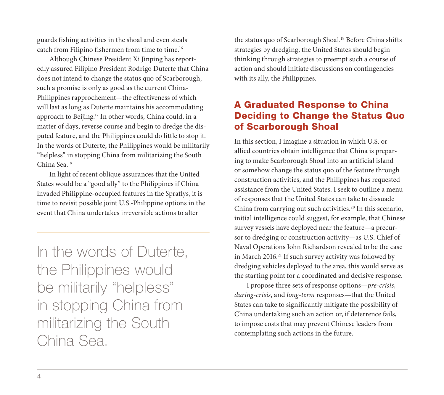guards fishing activities in the shoal and even steals catch from Filipino fishermen from time to time.16

Although Chinese President Xi Jinping has reportedly assured Filipino President Rodrigo Duterte that China does not intend to change the status quo of Scarborough, such a promise is only as good as the current China-Philippines rapprochement—the effectiveness of which will last as long as Duterte maintains his accommodating approach to Beijing.17 In other words, China could, in a matter of days, reverse course and begin to dredge the disputed feature, and the Philippines could do little to stop it. In the words of Duterte, the Philippines would be militarily "helpless" in stopping China from militarizing the South China Sea.18

In light of recent oblique assurances that the United States would be a "good ally" to the Philippines if China invaded Philippine-occupied features in the Spratlys, it is time to revisit possible joint U.S.-Philippine options in the event that China undertakes irreversible actions to alter

In the words of Duterte, the Philippines would be militarily "helpless" in stopping China from militarizing the South China Sea.

the status quo of Scarborough Shoal.<sup>19</sup> Before China shifts strategies by dredging, the United States should begin thinking through strategies to preempt such a course of action and should initiate discussions on contingencies with its ally, the Philippines.

# A Graduated Response to China Deciding to Change the Status Quo of Scarborough Shoal

In this section, I imagine a situation in which U.S. or allied countries obtain intelligence that China is preparing to make Scarborough Shoal into an artificial island or somehow change the status quo of the feature through construction activities, and the Philippines has requested assistance from the United States. I seek to outline a menu of responses that the United States can take to dissuade China from carrying out such activities.<sup>20</sup> In this scenario, initial intelligence could suggest, for example, that Chinese survey vessels have deployed near the feature—a precursor to dredging or construction activity—as U.S. Chief of Naval Operations John Richardson revealed to be the case in March 2016.<sup>21</sup> If such survey activity was followed by dredging vehicles deployed to the area, this would serve as the starting point for a coordinated and decisive response.

I propose three sets of response options—*pre-crisis*, *during*-*crisis*, and *long-term* responses—that the United States can take to significantly mitigate the possibility of China undertaking such an action or, if deterrence fails, to impose costs that may prevent Chinese leaders from contemplating such actions in the future.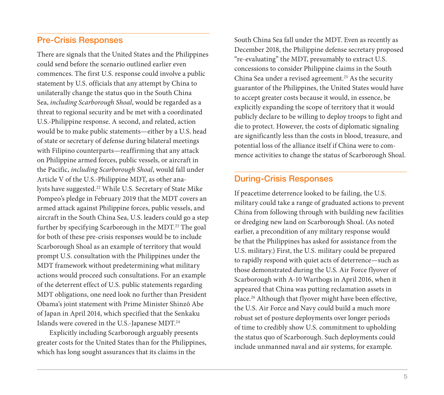#### Pre-Crisis Responses

There are signals that the United States and the Philippines could send before the scenario outlined earlier even commences. The first U.S. response could involve a public statement by U.S. officials that any attempt by China to unilaterally change the status quo in the South China Sea, *including Scarborough Shoal*, would be regarded as a threat to regional security and be met with a coordinated U.S.-Philippine response. A second, and related, action would be to make public statements—either by a U.S. head of state or secretary of defense during bilateral meetings with Filipino counterparts—reaffirming that any attack on Philippine armed forces, public vessels, or aircraft in the Pacific, *including Scarborough Shoal*, would fall under Article V of the U.S.-Philippine MDT, as other analysts have suggested.22 While U.S. Secretary of State Mike Pompeo's pledge in February 2019 that the MDT covers an armed attack against Philippine forces, public vessels, and aircraft in the South China Sea, U.S. leaders could go a step further by specifying Scarborough in the MDT.<sup>23</sup> The goal for both of these pre-crisis responses would be to include Scarborough Shoal as an example of territory that would prompt U.S. consultation with the Philippines under the MDT framework without predetermining what military actions would proceed such consultations. For an example of the deterrent effect of U.S. public statements regarding MDT obligations, one need look no further than President Obama's joint statement with Prime Minister Shinzō Abe of Japan in April 2014, which specified that the Senkaku Islands were covered in the U.S.-Japanese MDT.24

Explicitly including Scarborough arguably presents greater costs for the United States than for the Philippines, which has long sought assurances that its claims in the

South China Sea fall under the MDT. Even as recently as December 2018, the Philippine defense secretary proposed "re-evaluating" the MDT, presumably to extract U.S. concessions to consider Philippine claims in the South China Sea under a revised agreement.<sup>25</sup> As the security guarantor of the Philippines, the United States would have to accept greater costs because it would, in essence, be explicitly expanding the scope of territory that it would publicly declare to be willing to deploy troops to fight and die to protect. However, the costs of diplomatic signaling are significantly less than the costs in blood, treasure, and potential loss of the alliance itself if China were to commence activities to change the status of Scarborough Shoal.

#### During-Crisis Responses

If peacetime deterrence looked to be failing, the U.S. military could take a range of graduated actions to prevent China from following through with building new facilities or dredging new land on Scarborough Shoal. (As noted earlier, a precondition of any military response would be that the Philippines has asked for assistance from the U.S. military.) First, the U.S. military could be prepared to rapidly respond with quiet acts of deterrence—such as those demonstrated during the U.S. Air Force flyover of Scarborough with A-10 Warthogs in April 2016, when it appeared that China was putting reclamation assets in place.26 Although that flyover might have been effective, the U.S. Air Force and Navy could build a much more robust set of posture deployments over longer periods of time to credibly show U.S. commitment to upholding the status quo of Scarborough. Such deployments could include unmanned naval and air systems, for example.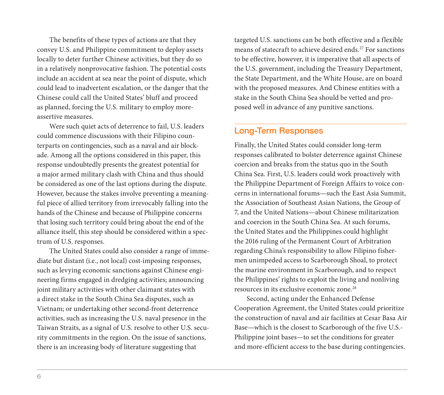The benefits of these types of actions are that they convey U.S. and Philippine commitment to deploy assets locally to deter further Chinese activities, but they do so in a relatively nonprovocative fashion. The potential costs include an accident at sea near the point of dispute, which could lead to inadvertent escalation, or the danger that the Chinese could call the United States' bluff and proceed as planned, forcing the U.S. military to employ moreassertive measures.

Were such quiet acts of deterrence to fail, U.S. leaders could commence discussions with their Filipino counterparts on contingencies, such as a naval and air blockade. Among all the options considered in this paper, this response undoubtedly presents the greatest potential for a major armed military clash with China and thus should be considered as one of the last options during the dispute. However, because the stakes involve preventing a meaningful piece of allied territory from irrevocably falling into the hands of the Chinese and because of Philippine concerns that losing such territory could bring about the end of the alliance itself, this step should be considered within a spectrum of U.S. responses.

The United States could also consider a range of immediate but distant (i.e., not local) cost-imposing responses, such as levying economic sanctions against Chinese engineering firms engaged in dredging activities; announcing joint military activities with other claimant states with a direct stake in the South China Sea disputes, such as Vietnam; or undertaking other second-front deterrence activities, such as increasing the U.S. naval presence in the Taiwan Straits, as a signal of U.S. resolve to other U.S. security commitments in the region. On the issue of sanctions, there is an increasing body of literature suggesting that

targeted U.S. sanctions can be both effective and a flexible means of statecraft to achieve desired ends.<sup>27</sup> For sanctions to be effective, however, it is imperative that all aspects of the U.S. government, including the Treasury Department, the State Department, and the White House, are on board with the proposed measures. And Chinese entities with a stake in the South China Sea should be vetted and proposed well in advance of any punitive sanctions.

#### Long-Term Responses

Finally, the United States could consider long-term responses calibrated to bolster deterrence against Chinese coercion and breaks from the status quo in the South China Sea. First, U.S. leaders could work proactively with the Philippine Department of Foreign Affairs to voice concerns in international forums—such the East Asia Summit, the Association of Southeast Asian Nations, the Group of 7, and the United Nations—about Chinese militarization and coercion in the South China Sea. At such forums, the United States and the Philippines could highlight the 2016 ruling of the Permanent Court of Arbitration regarding China's responsibility to allow Filipino fishermen unimpeded access to Scarborough Shoal, to protect the marine environment in Scarborough, and to respect the Philippines' rights to exploit the living and nonliving resources in its exclusive economic zone.28

Second, acting under the Enhanced Defense Cooperation Agreement, the United States could prioritize the construction of naval and air facilities at Cesar Basa Air Base—which is the closest to Scarborough of the five U.S.- Philippine joint bases—to set the conditions for greater and more-efficient access to the base during contingencies.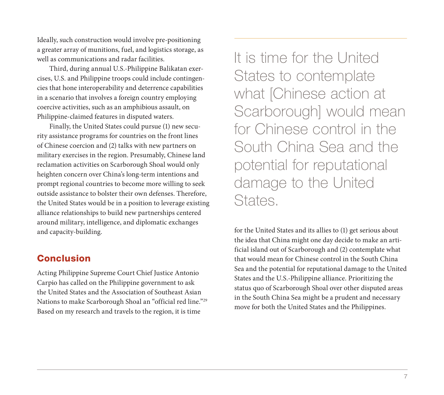Ideally, such construction would involve pre-positioning a greater array of munitions, fuel, and logistics storage, as well as communications and radar facilities.

Third, during annual U.S.-Philippine Balikatan exercises, U.S. and Philippine troops could include contingencies that hone interoperability and deterrence capabilities in a scenario that involves a foreign country employing coercive activities, such as an amphibious assault, on Philippine-claimed features in disputed waters.

Finally, the United States could pursue (1) new security assistance programs for countries on the front lines of Chinese coercion and (2) talks with new partners on military exercises in the region. Presumably, Chinese land reclamation activities on Scarborough Shoal would only heighten concern over China's long-term intentions and prompt regional countries to become more willing to seek outside assistance to bolster their own defenses. Therefore, the United States would be in a position to leverage existing alliance relationships to build new partnerships centered around military, intelligence, and diplomatic exchanges and capacity-building.

#### Conclusion

Acting Philippine Supreme Court Chief Justice Antonio Carpio has called on the Philippine government to ask the United States and the Association of Southeast Asian Nations to make Scarborough Shoal an "official red line."29 Based on my research and travels to the region, it is time

It is time for the United States to contemplate what [Chinese action at Scarborough] would mean for Chinese control in the South China Sea and the potential for reputational damage to the United States.

for the United States and its allies to (1) get serious about the idea that China might one day decide to make an artificial island out of Scarborough and (2) contemplate what that would mean for Chinese control in the South China Sea and the potential for reputational damage to the United States and the U.S.-Philippine alliance. Prioritizing the status quo of Scarborough Shoal over other disputed areas in the South China Sea might be a prudent and necessary move for both the United States and the Philippines.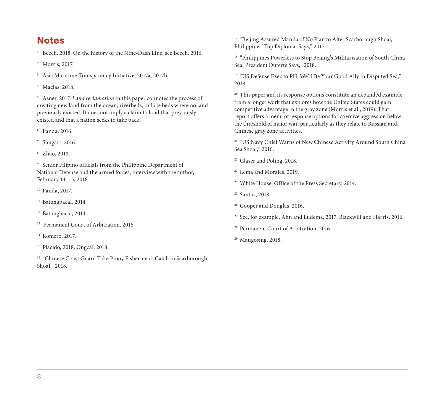### Notes

<sup>1</sup> Beech, 2018. On the history of the Nine-Dash Line, see Beech, 2016.

<sup>2</sup> Morris, 2017.

- <sup>3</sup> Asia Maritime Transparency Initiative, 2017a, 2017b.
- <sup>4</sup> Macias, 2018.

<sup>5</sup> Asner, 2017. *Land reclamation* in this paper connotes the process of creating new land from the ocean, riverbeds, or lake beds where no land previously existed. It does not imply a claim to land that previously existed and that a nation seeks to take back.

<sup>6</sup> Panda, 2016.

<sup>7</sup> Shugart, 2016.

<sup>8</sup> Zhao, 2018.

<sup>9</sup> Senior Filipino officials from the Philippine Department of National Defense and the armed forces, interview with the author, February 14–15, 2018.

<sup>10</sup> Panda, 2017.

<sup>11</sup> Batongbacal, 2014.

<sup>12</sup> Batongbacal, 2014.

- <sup>13</sup> Permanent Court of Arbitration, 2016.
- <sup>14</sup> Romero, 2017.
- <sup>15</sup> Placido, 2018; Ongcal, 2018.

<sup>16</sup> "Chinese Coast Guard Take Pinoy Fishermen's Catch in Scarborough Shoal," 2018.

<sup>17</sup> "Beijing Assured Manila of No Plan to Alter Scarborough Shoal, Philippines' Top Diplomat Says," 2017.

<sup>18</sup> "Philippines Powerless to Stop Beijing's Militarisation of South China Sea, President Duterte Says," 2018.

<sup>19</sup> "US Defense Exec to PH: We'll Be Your Good Ally in Disputed Sea," 2018.

<sup>20</sup> This paper and its response options constitute an expanded example from a longer work that explores how the United States could gain competitive advantage in the gray zone (Morris et al., 2019). That report offers a menu of response options for coercive aggression below the threshold of major war, particularly as they relate to Russian and Chinese gray zone activities.

<sup>21</sup> "US Navy Chief Warns of New Chinese Activity Around South China Sea Shoal," 2016.

<sup>22</sup> Glaser and Poling, 2018.

<sup>23</sup> Lema and Morales, 2019.

<sup>24</sup> White House, Office of the Press Secretary, 2014.

<sup>25</sup> Santos, 2018.

<sup>26</sup> Cooper and Douglas, 2016.

<sup>27</sup> See, for example, Ahn and Ludema, 2017; Blackwill and Harris, 2016.

- <sup>28</sup> Permanent Court of Arbitration, 2016.
- <sup>29</sup> Mangosing, 2018.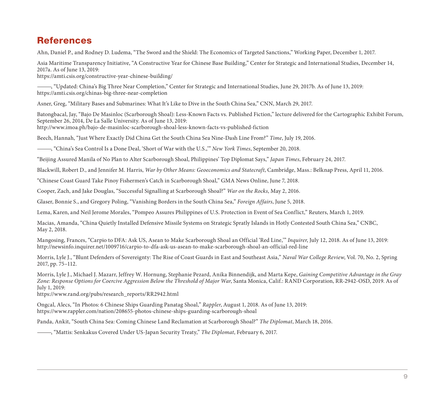# References

Ahn, Daniel P., and Rodney D. Ludema, "The Sword and the Shield: The Economics of Targeted Sanctions," Working Paper, December 1, 2017.

Asia Maritime Transparency Initiative, "A Constructive Year for Chinese Base Building," Center for Strategic and International Studies, December 14, 2017a. As of June 13, 2019:

<https://amti.csis.org/constructive-year-chinese-building/>

———, "Updated: China's Big Three Near Completion," Center for Strategic and International Studies, June 29, 2017b. As of June 13, 2019: <https://amti.csis.org/chinas-big-three-near-completion>

Asner, Greg, "Military Bases and Submarines: What It's Like to Dive in the South China Sea," CNN, March 29, 2017.

Batongbacal, Jay, "Bajo De Masinloc (Scarborough Shoal): Less-Known Facts vs. Published Fiction," lecture delivered for the Cartographic Exhibit Forum, September 26, 2014, De La Salle University. As of June 13, 2019:

<http://www.imoa.ph/bajo-de-masinloc-scarborough-shoal-less-known-facts-vs-published-fiction>

Beech, Hannah, "Just Where Exactly Did China Get the South China Sea Nine-Dash Line From?" *Time*, July 19, 2016.

———, "China's Sea Control Is a Done Deal, 'Short of War with the U.S.,'" *New York Times*, September 20, 2018.

"Beijing Assured Manila of No Plan to Alter Scarborough Shoal, Philippines' Top Diplomat Says," *Japan Times*, February 24, 2017.

Blackwill, Robert D., and Jennifer M. Harris, *War by Other Means: Geoeconomics and Statecraft*, Cambridge, Mass.: Belknap Press, April 11, 2016.

"Chinese Coast Guard Take Pinoy Fishermen's Catch in Scarborough Shoal," GMA News Online, June 7, 2018.

Cooper, Zach, and Jake Douglas, "Successful Signalling at Scarborough Shoal?" *War on the Rocks*, May 2, 2016.

Glaser, Bonnie S., and Gregory Poling, "Vanishing Borders in the South China Sea," *Foreign Affairs*, June 5, 2018.

Lema, Karen, and Neil Jerome Morales, "Pompeo Assures Philippines of U.S. Protection in Event of Sea Conflict," Reuters, March 1, 2019.

Macias, Amanda, "China Quietly Installed Defensive Missile Systems on Strategic Spratly Islands in Hotly Contested South China Sea," CNBC, May 2, 2018.

Mangosing, Frances, "Carpio to DFA: Ask US, Asean to Make Scarborough Shoal an Official 'Red Line,'" *Inquirer*, July 12, 2018. As of June 13, 2019: <http://newsinfo.inquirer.net/1009716/carpio-to-dfa-ask-us-asean-to-make-scarborough-shoal-an-official-red-line>

Morris, Lyle J., "Blunt Defenders of Sovereignty: The Rise of Coast Guards in East and Southeast Asia," *Naval War College Review*, Vol. 70, No. 2, Spring 2017, pp. 75–112.

Morris, Lyle J., Michael J. Mazarr, Jeffrey W. Hornung, Stephanie Pezard, Anika Binnendijk, and Marta Kepe, *Gaining Competitive Advantage in the Gray Zone: Response Options for Coercive Aggression Below the Threshold of Major War*, Santa Monica, Calif.: RAND Corporation, RR-2942-OSD, 2019. As of July 1, 2019:

[https://www.rand.org/pubs/research\\_reports/RR2942.html](https://www.rand.org/pubs/research_reports/RR2942.html)

Ongcal, Alecs, "In Photos: 6 Chinese Ships Guarding Panatag Shoal," *Rappler*, August 1, 2018. As of June 13, 2019: <https://www.rappler.com/nation/208655-photos-chinese-ships-guarding-scarborough-shoal>

Panda, Ankit, "South China Sea: Coming Chinese Land Reclamation at Scarborough Shoal?" *The Diplomat*, March 18, 2016.

———, "Mattis: Senkakus Covered Under US-Japan Security Treaty," *The Diplomat*, February 6, 2017.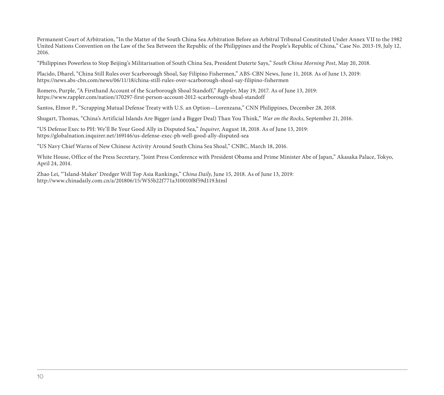Permanent Court of Arbitration, "In the Matter of the South China Sea Arbitration Before an Arbitral Tribunal Constituted Under Annex VII to the 1982 United Nations Convention on the Law of the Sea Between the Republic of the Philippines and the People's Republic of China," Case No. 2013-19, July 12, 2016.

"Philippines Powerless to Stop Beijing's Militarisation of South China Sea, President Duterte Says," *South China Morning Post*, May 20, 2018.

Placido, Dharel, "China Still Rules over Scarborough Shoal, Say Filipino Fishermen," ABS-CBN News, June 11, 2018. As of June 13, 2019: <https://news.abs-cbn.com/news/06/11/18/china-still-rules-over-scarborough-shoal-say-filipino-fishermen>

Romero, Purple, "A Firsthand Account of the Scarborough Shoal Standoff," *Rappler*, May 19, 2017. As of June 13, 2019: <https://www.rappler.com/nation/170297-first-person-account-2012-scarborough-shoal-standoff>

Santos, Elmor P., "Scrapping Mutual Defense Treaty with U.S. an Option—Lorenzana," CNN Philippines, December 28, 2018.

Shugart, Thomas, "China's Artificial Islands Are Bigger (and a Bigger Deal) Than You Think," *War on the Rocks*, September 21, 2016.

"US Defense Exec to PH: We'll Be Your Good Ally in Disputed Sea," *Inquirer*, August 18, 2018. As of June 13, 2019: <https://globalnation.inquirer.net/169146/us-defense-exec-ph-well-good-ally-disputed-sea>

"US Navy Chief Warns of New Chinese Activity Around South China Sea Shoal," CNBC, March 18, 2016.

White House, Office of the Press Secretary, "Joint Press Conference with President Obama and Prime Minister Abe of Japan," Akasaka Palace, Tokyo, April 24, 2014.

Zhao Lei, "'Island-Maker' Dredger Will Top Asia Rankings," *China Daily*, June 15, 2018. As of June 13, 2019: <http://www.chinadaily.com.cn/a/201806/15/WS5b22f771a310010f8f59d119.html>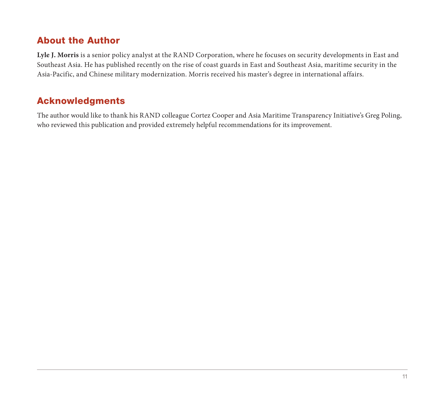# About the Author

**Lyle J. Morris** is a senior policy analyst at the RAND Corporation, where he focuses on security developments in East and Southeast Asia. He has published recently on the rise of coast guards in East and Southeast Asia, maritime security in the Asia-Pacific, and Chinese military modernization. Morris received his master's degree in international affairs.

# Acknowledgments

The author would like to thank his RAND colleague Cortez Cooper and Asia Maritime Transparency Initiative's Greg Poling, who reviewed this publication and provided extremely helpful recommendations for its improvement.